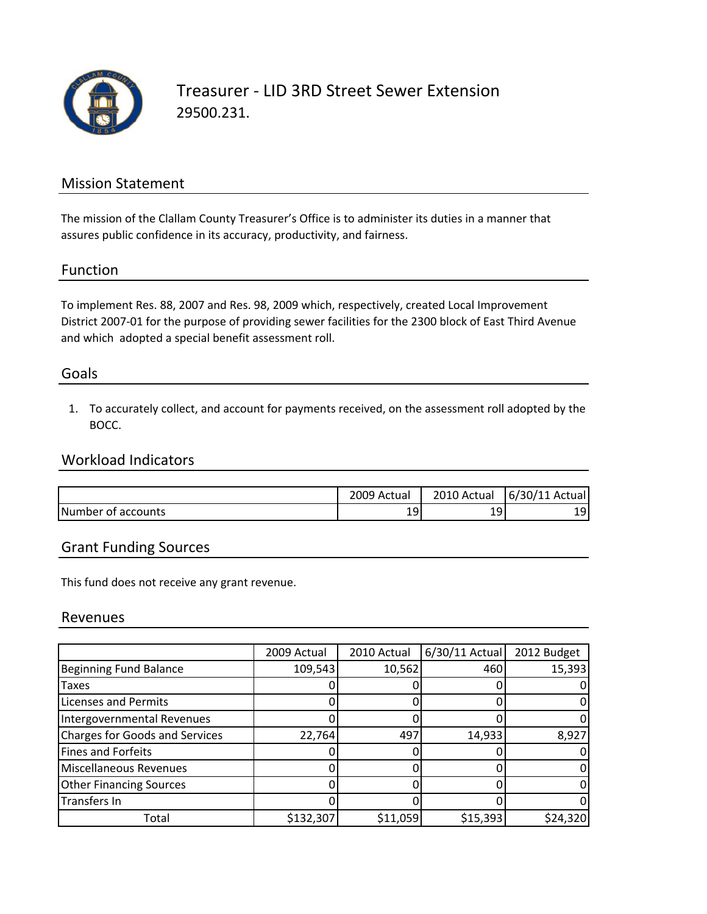

Treasurer ‐ LID 3RD Street Sewer Extension 29500.231.

## Mission Statement

The mission of the Clallam County Treasurer's Office is to administer its duties in a manner that assures public confidence in its accuracy, productivity, and fairness.

## Function

To implement Res. 88, 2007 and Res. 98, 2009 which, respectively, created Local Improvement District 2007‐01 for the purpose of providing sewer facilities for the 2300 block of East Third Avenue and which adopted a special benefit assessment roll.

## Goals

1. To accurately collect, and account for payments received, on the assessment roll adopted by the BOCC.

## Workload Indicators

|                    | 2009 Actual | 2010 Actual | 6/30/11 Actual |
|--------------------|-------------|-------------|----------------|
| Number of accounts | 19          | ۰۹.<br>ᅩ    | ا ۱۵           |

## Grant Funding Sources

This fund does not receive any grant revenue.

#### Revenues

|                                       | 2009 Actual | 2010 Actual | $6/30/11$ Actual | 2012 Budget |
|---------------------------------------|-------------|-------------|------------------|-------------|
| <b>Beginning Fund Balance</b>         | 109,543     | 10,562      | 460              | 15,393      |
| Taxes                                 |             |             |                  |             |
| <b>Licenses and Permits</b>           |             |             |                  |             |
| Intergovernmental Revenues            |             |             |                  |             |
| <b>Charges for Goods and Services</b> | 22,764      | 497         | 14,933           | 8,927       |
| <b>Fines and Forfeits</b>             |             |             |                  |             |
| Miscellaneous Revenues                |             |             |                  |             |
| <b>Other Financing Sources</b>        |             |             |                  |             |
| Transfers In                          |             |             |                  |             |
| Total                                 | \$132,307   | \$11,059    | \$15,393         | \$24,320    |